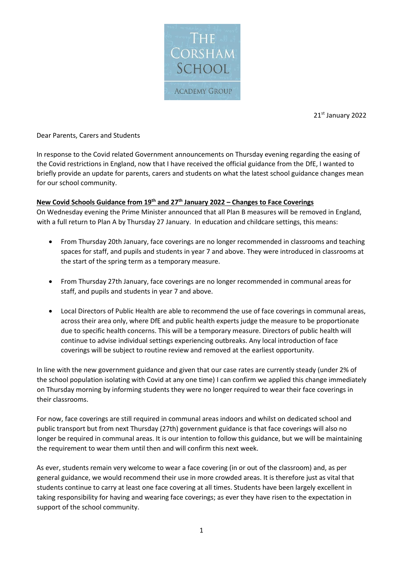

21st January 2022

Dear Parents, Carers and Students

In response to the Covid related Government announcements on Thursday evening regarding the easing of the Covid restrictions in England, now that I have received the official guidance from the DfE, I wanted to briefly provide an update for parents, carers and students on what the latest school guidance changes mean for our school community.

## **New Covid Schools Guidance from 19 th and 27 th January 2022 – Changes to Face Coverings**

On Wednesday evening the Prime Minister announced that all Plan B measures will be removed in England, with a full return to Plan A by Thursday 27 January. In education and childcare settings, this means:

- From Thursday 20th January, face coverings are no longer recommended in classrooms and teaching spaces for staff, and pupils and students in year 7 and above. They were introduced in classrooms at the start of the spring term as a temporary measure.
- From Thursday 27th January, face coverings are no longer recommended in communal areas for staff, and pupils and students in year 7 and above.
- Local Directors of Public Health are able to recommend the use of face coverings in communal areas, across their area only, where DfE and public health experts judge the measure to be proportionate due to specific health concerns. This will be a temporary measure. Directors of public health will continue to advise individual settings experiencing outbreaks. Any local introduction of face coverings will be subject to routine review and removed at the earliest opportunity.

In line with the new government guidance and given that our case rates are currently steady (under 2% of the school population isolating with Covid at any one time) I can confirm we applied this change immediately on Thursday morning by informing students they were no longer required to wear their face coverings in their classrooms.

For now, face coverings are still required in communal areas indoors and whilst on dedicated school and public transport but from next Thursday (27th) government guidance is that face coverings will also no longer be required in communal areas. It is our intention to follow this guidance, but we will be maintaining the requirement to wear them until then and will confirm this next week.

As ever, students remain very welcome to wear a face covering (in or out of the classroom) and, as per general guidance, we would recommend their use in more crowded areas. It is therefore just as vital that students continue to carry at least one face covering at all times. Students have been largely excellent in taking responsibility for having and wearing face coverings; as ever they have risen to the expectation in support of the school community.